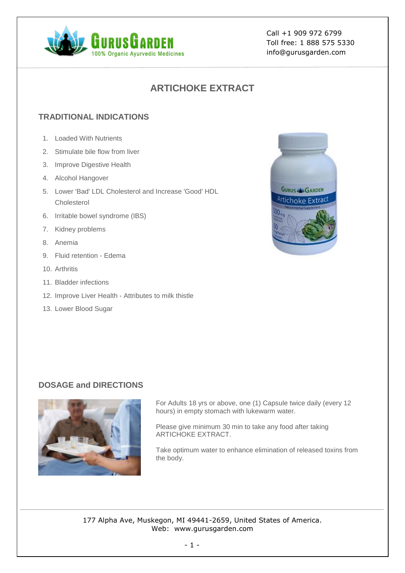

Call +1 909 972 6799 Toll free: 1 888 575 5330 info@gurusgarden.com

# **ARTICHOKE EXTRACT**

## **TRADITIONAL INDICATIONS**

- 1. Loaded With Nutrients
- 2. Stimulate bile flow from liver
- 3. Improve Digestive Health
- 4. Alcohol Hangover
- 5. Lower 'Bad' LDL Cholesterol and Increase 'Good' HDL Cholesterol
- 6. Irritable bowel syndrome (IBS)
- 7. Kidney problems
- 8. Anemia
- 9. Fluid retention Edema
- 10. Arthritis
- 11. Bladder infections
- 12. Improve Liver Health Attributes to milk thistle
- 13. Lower Blood Sugar



### **DOSAGE and DIRECTIONS**



For Adults 18 yrs or above, one (1) Capsule twice daily (every 12 hours) in empty stomach with lukewarm water.

Please give minimum 30 min to take any food after taking ARTICHOKE EXTRACT.

Take optimum water to enhance elimination of released toxins from the body.

177 Alpha Ave, Muskegon, MI 49441-2659, United States of America. Web: www.gurusgarden.com